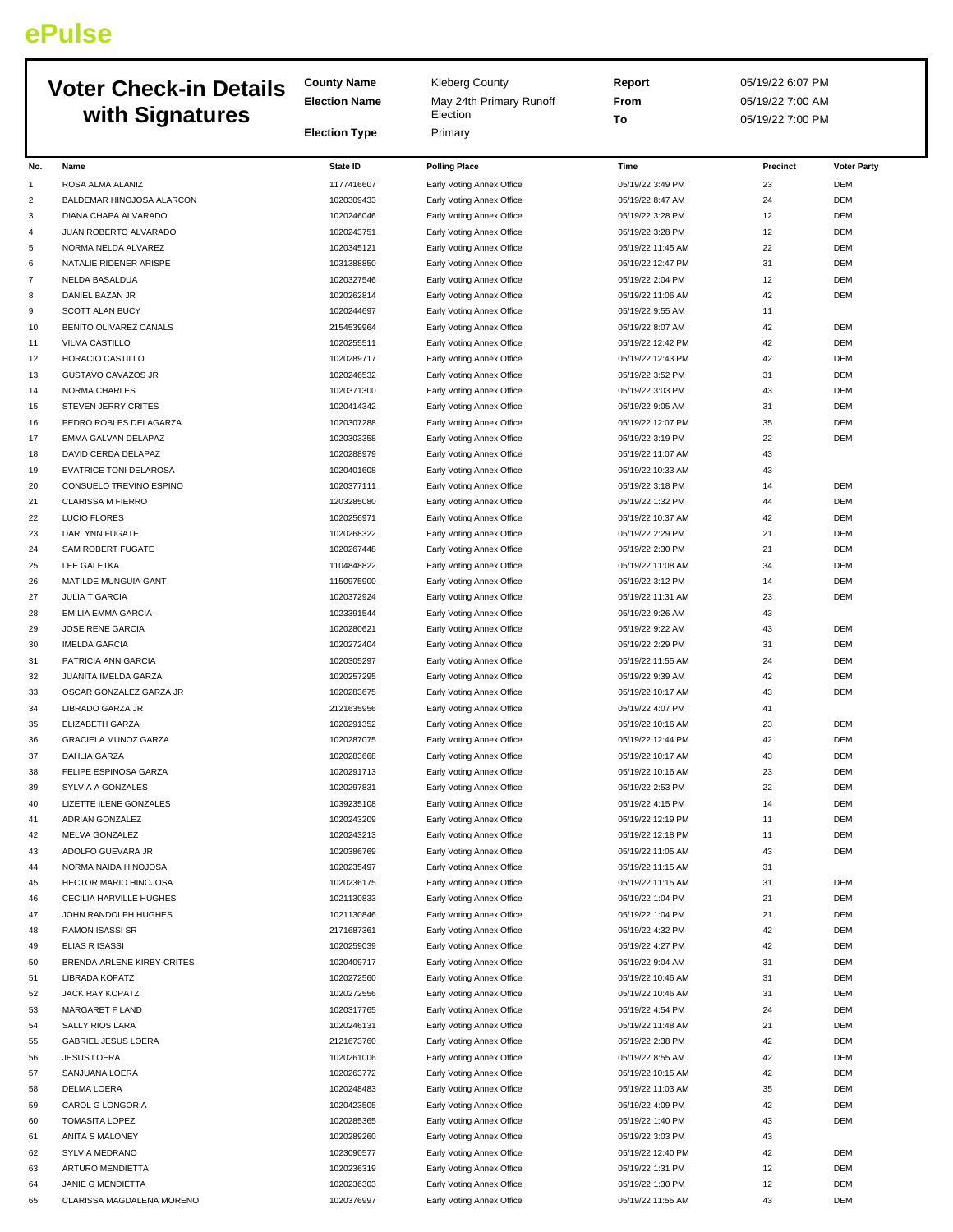## **ePulse**

| <b>Voter Check-in Details</b> |                                    | <b>County Name</b><br><b>Election Name</b> | <b>Kleberg County</b><br>May 24th Primary Runoff       | Report<br>From                        | 05/19/22 6:07 PM<br>05/19/22 7:00 AM |                          |
|-------------------------------|------------------------------------|--------------------------------------------|--------------------------------------------------------|---------------------------------------|--------------------------------------|--------------------------|
|                               | with Signatures                    | <b>Election Type</b>                       | Election<br>Primary                                    | To                                    | 05/19/22 7:00 PM                     |                          |
| No.                           | Name                               | <b>State ID</b>                            | <b>Polling Place</b>                                   | Time                                  | Precinct                             | <b>Voter Party</b>       |
| $\mathbf{1}$                  | ROSA ALMA ALANIZ                   | 1177416607                                 | Early Voting Annex Office                              | 05/19/22 3:49 PM                      | 23                                   | <b>DEM</b>               |
| $\overline{c}$                | BALDEMAR HINOJOSA ALARCON          | 1020309433                                 | Early Voting Annex Office                              | 05/19/22 8:47 AM                      | 24                                   | <b>DEM</b>               |
| 3                             | DIANA CHAPA ALVARADO               | 1020246046                                 | Early Voting Annex Office                              | 05/19/22 3:28 PM                      | 12                                   | <b>DEM</b>               |
| $\overline{4}$                | JUAN ROBERTO ALVARADO              | 1020243751                                 | Early Voting Annex Office                              | 05/19/22 3:28 PM                      | 12                                   | DEM                      |
| 5                             | NORMA NELDA ALVAREZ                | 1020345121                                 | Early Voting Annex Office                              | 05/19/22 11:45 AM                     | 22                                   | <b>DEM</b>               |
| 6                             | NATALIE RIDENER ARISPE             | 1031388850                                 | Early Voting Annex Office                              | 05/19/22 12:47 PM                     | 31                                   | <b>DEM</b>               |
| $\overline{7}$                | NELDA BASALDUA                     | 1020327546                                 | Early Voting Annex Office                              | 05/19/22 2:04 PM                      | 12                                   | <b>DEM</b>               |
| 8                             | DANIEL BAZAN JR                    | 1020262814                                 | Early Voting Annex Office                              | 05/19/22 11:06 AM                     | 42                                   | <b>DEM</b>               |
| 9                             | <b>SCOTT ALAN BUCY</b>             | 1020244697                                 | Early Voting Annex Office                              | 05/19/22 9:55 AM                      | 11                                   |                          |
| 10                            | BENITO OLIVAREZ CANALS             | 2154539964                                 | Early Voting Annex Office                              | 05/19/22 8:07 AM                      | 42                                   | <b>DEM</b>               |
| 11                            | VILMA CASTILLO                     | 1020255511                                 | Early Voting Annex Office                              | 05/19/22 12:42 PM                     | 42                                   | <b>DEM</b>               |
| 12                            | HORACIO CASTILLO                   | 1020289717                                 | Early Voting Annex Office                              | 05/19/22 12:43 PM                     | 42                                   | <b>DEM</b>               |
| 13                            | <b>GUSTAVO CAVAZOS JR</b>          | 1020246532                                 | Early Voting Annex Office                              | 05/19/22 3:52 PM                      | 31                                   | <b>DEM</b>               |
| 14                            | <b>NORMA CHARLES</b>               | 1020371300                                 | Early Voting Annex Office                              | 05/19/22 3:03 PM                      | 43                                   | DEM                      |
| 15                            | STEVEN JERRY CRITES                | 1020414342                                 | Early Voting Annex Office                              | 05/19/22 9:05 AM                      | 31                                   | <b>DEM</b>               |
| 16                            | PEDRO ROBLES DELAGARZA             | 1020307288                                 | Early Voting Annex Office                              | 05/19/22 12:07 PM                     | 35                                   | <b>DEM</b>               |
| 17                            | EMMA GALVAN DELAPAZ                | 1020303358                                 | Early Voting Annex Office                              | 05/19/22 3:19 PM                      | 22                                   | <b>DEM</b>               |
| 18                            | DAVID CERDA DELAPAZ                | 1020288979                                 | Early Voting Annex Office                              | 05/19/22 11:07 AM                     | 43                                   |                          |
| 19                            | <b>EVATRICE TONI DELAROSA</b>      | 1020401608                                 | Early Voting Annex Office                              | 05/19/22 10:33 AM                     | 43                                   |                          |
| 20                            | CONSUELO TREVINO ESPINO            | 1020377111                                 | Early Voting Annex Office                              | 05/19/22 3:18 PM                      | 14                                   | <b>DEM</b>               |
| 21                            | <b>CLARISSA M FIERRO</b>           | 1203285080                                 | Early Voting Annex Office                              | 05/19/22 1:32 PM                      | 44                                   | <b>DEM</b>               |
| 22                            | LUCIO FLORES                       | 1020256971                                 | Early Voting Annex Office                              | 05/19/22 10:37 AM                     | 42                                   | <b>DEM</b>               |
| 23                            | DARLYNN FUGATE                     | 1020268322                                 | Early Voting Annex Office                              | 05/19/22 2:29 PM                      | 21                                   | <b>DEM</b>               |
| 24                            | SAM ROBERT FUGATE                  | 1020267448                                 | Early Voting Annex Office                              | 05/19/22 2:30 PM                      | 21                                   | DEM                      |
| 25                            | LEE GALETKA                        | 1104848822                                 | Early Voting Annex Office                              | 05/19/22 11:08 AM                     | 34                                   | <b>DEM</b>               |
| 26                            | MATILDE MUNGUIA GANT               | 1150975900                                 | Early Voting Annex Office                              | 05/19/22 3:12 PM                      | 14                                   | <b>DEM</b>               |
| 27                            | <b>JULIA T GARCIA</b>              | 1020372924                                 | Early Voting Annex Office                              | 05/19/22 11:31 AM                     | 23                                   | <b>DEM</b>               |
| 28                            | <b>EMILIA EMMA GARCIA</b>          | 1023391544                                 | Early Voting Annex Office                              | 05/19/22 9:26 AM                      | 43                                   |                          |
| 29                            | <b>JOSE RENE GARCIA</b>            | 1020280621                                 | Early Voting Annex Office                              | 05/19/22 9:22 AM                      | 43                                   | DEM                      |
| 30                            | <b>IMELDA GARCIA</b>               | 1020272404                                 | Early Voting Annex Office                              | 05/19/22 2:29 PM                      | 31                                   | DEM                      |
| 31                            | PATRICIA ANN GARCIA                | 1020305297                                 | Early Voting Annex Office                              | 05/19/22 11:55 AM                     | 24                                   | <b>DEM</b>               |
| 32                            | JUANITA IMELDA GARZA               | 1020257295                                 | Early Voting Annex Office                              | 05/19/22 9:39 AM                      | 42                                   | <b>DEM</b>               |
| 33                            | OSCAR GONZALEZ GARZA JR            | 1020283675                                 | Early Voting Annex Office                              | 05/19/22 10:17 AM                     | 43                                   | <b>DEM</b>               |
| 34                            | LIBRADO GARZA JR                   | 2121635956                                 | Early Voting Annex Office                              | 05/19/22 4:07 PM                      | 41                                   |                          |
| 35                            | ELIZABETH GARZA                    | 1020291352                                 | Early Voting Annex Office                              | 05/19/22 10:16 AM                     | 23                                   | DEM                      |
| 36                            | GRACIELA MUNOZ GARZA               | 1020287075                                 | Early Voting Annex Office                              | 05/19/22 12:44 PM                     | 42                                   | <b>DEM</b>               |
| 37                            | DAHLIA GARZA                       | 1020283668                                 | Early Voting Annex Office                              | 05/19/22 10:17 AM                     | 43                                   | <b>DEM</b>               |
| 38                            | FELIPE ESPINOSA GARZA              | 1020291713                                 | Early Voting Annex Office                              | 05/19/22 10:16 AM                     | 23                                   | <b>DEM</b>               |
| 39                            | SYLVIA A GONZALES                  | 1020297831                                 | Early Voting Annex Office                              | 05/19/22 2:53 PM                      | 22                                   | DEM                      |
| 40                            | LIZETTE ILENE GONZALES             | 1039235108                                 | Early Voting Annex Office                              | 05/19/22 4:15 PM                      | 14                                   | DEM                      |
| 41                            | ADRIAN GONZALEZ                    | 1020243209                                 | Early Voting Annex Office                              | 05/19/22 12:19 PM                     | 11                                   | <b>DEM</b>               |
| 42                            | MELVA GONZALEZ                     | 1020243213                                 | Early Voting Annex Office                              | 05/19/22 12:18 PM                     | 11                                   | <b>DEM</b>               |
| 43                            | ADOLFO GUEVARA JR                  | 1020386769                                 | Early Voting Annex Office                              | 05/19/22 11:05 AM                     | 43                                   | <b>DEM</b>               |
| 44                            | NORMA NAIDA HINOJOSA               | 1020235497                                 | Early Voting Annex Office                              | 05/19/22 11:15 AM                     | 31                                   |                          |
| 45                            | HECTOR MARIO HINOJOSA              | 1020236175                                 | Early Voting Annex Office                              | 05/19/22 11:15 AM                     | 31                                   | <b>DEM</b>               |
| 46                            | CECILIA HARVILLE HUGHES            | 1021130833                                 | Early Voting Annex Office                              | 05/19/22 1:04 PM                      | 21                                   | <b>DEM</b>               |
| 47                            | JOHN RANDOLPH HUGHES               | 1021130846                                 | Early Voting Annex Office                              | 05/19/22 1:04 PM                      | 21                                   | <b>DEM</b>               |
| 48                            | RAMON ISASSI SR                    | 2171687361                                 | Early Voting Annex Office                              | 05/19/22 4:32 PM                      | 42                                   | <b>DEM</b>               |
| 49                            | <b>ELIAS R ISASSI</b>              | 1020259039                                 | Early Voting Annex Office                              | 05/19/22 4:27 PM                      | 42                                   | <b>DEM</b>               |
| 50                            | BRENDA ARLENE KIRBY-CRITES         | 1020409717                                 | Early Voting Annex Office                              | 05/19/22 9:04 AM                      | 31                                   | DEM                      |
| 51                            | LIBRADA KOPATZ                     | 1020272560<br>1020272556                   | Early Voting Annex Office                              | 05/19/22 10:46 AM                     | 31<br>31                             | <b>DEM</b><br><b>DEM</b> |
| 52<br>53                      | JACK RAY KOPATZ<br>MARGARET F LAND | 1020317765                                 | Early Voting Annex Office                              | 05/19/22 10:46 AM<br>05/19/22 4:54 PM | 24                                   | <b>DEM</b>               |
| 54                            | SALLY RIOS LARA                    | 1020246131                                 | Early Voting Annex Office                              | 05/19/22 11:48 AM                     | 21                                   | <b>DEM</b>               |
| 55                            | GABRIEL JESUS LOERA                | 2121673760                                 | Early Voting Annex Office<br>Early Voting Annex Office | 05/19/22 2:38 PM                      | 42                                   | DEM                      |
| 56                            | <b>JESUS LOERA</b>                 | 1020261006                                 | Early Voting Annex Office                              | 05/19/22 8:55 AM                      | 42                                   | <b>DEM</b>               |
| 57                            | SANJUANA LOERA                     | 1020263772                                 | Early Voting Annex Office                              | 05/19/22 10:15 AM                     | 42                                   | <b>DEM</b>               |
| 58                            | DELMA LOERA                        | 1020248483                                 | Early Voting Annex Office                              | 05/19/22 11:03 AM                     | 35                                   | <b>DEM</b>               |
| 59                            | CAROL G LONGORIA                   | 1020423505                                 | Early Voting Annex Office                              | 05/19/22 4:09 PM                      | 42                                   | DEM                      |
| 60                            | <b>TOMASITA LOPEZ</b>              | 1020285365                                 | Early Voting Annex Office                              | 05/19/22 1:40 PM                      | 43                                   | DEM                      |
| 61                            | ANITA S MALONEY                    | 1020289260                                 | Early Voting Annex Office                              | 05/19/22 3:03 PM                      | 43                                   |                          |
| 62                            | SYLVIA MEDRANO                     | 1023090577                                 | Early Voting Annex Office                              | 05/19/22 12:40 PM                     | 42                                   | <b>DEM</b>               |
| 63                            | ARTURO MENDIETTA                   | 1020236319                                 | Early Voting Annex Office                              | 05/19/22 1:31 PM                      | 12                                   | <b>DEM</b>               |
| 64                            | JANIE G MENDIETTA                  | 1020236303                                 | Early Voting Annex Office                              | 05/19/22 1:30 PM                      | 12                                   | <b>DEM</b>               |
| 65                            | CLARISSA MAGDALENA MORENO          | 1020376997                                 | Early Voting Annex Office                              | 05/19/22 11:55 AM                     | 43                                   | DEM                      |
|                               |                                    |                                            |                                                        |                                       |                                      |                          |